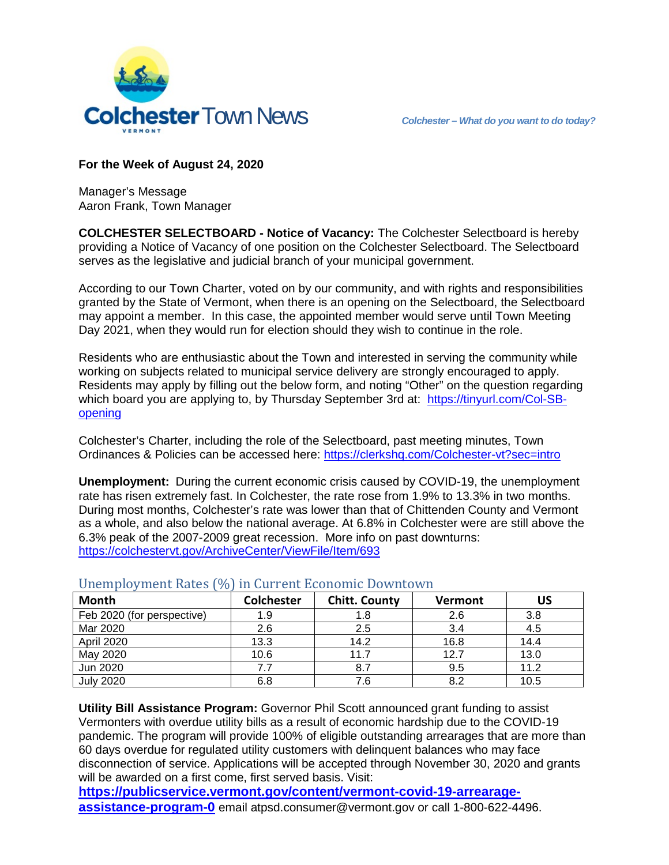

## **For the Week of August 24, 2020**

Manager's Message Aaron Frank, Town Manager

**COLCHESTER SELECTBOARD - Notice of Vacancy:** The Colchester Selectboard is hereby providing a Notice of Vacancy of one position on the Colchester Selectboard. The Selectboard serves as the legislative and judicial branch of your municipal government.

According to our Town Charter, voted on by our community, and with rights and responsibilities granted by the State of Vermont, when there is an opening on the Selectboard, the Selectboard may appoint a member. In this case, the appointed member would serve until Town Meeting Day 2021, when they would run for election should they wish to continue in the role.

Residents who are enthusiastic about the Town and interested in serving the community while working on subjects related to municipal service delivery are strongly encouraged to apply. Residents may apply by filling out the below form, and noting "Other" on the question regarding which board you are applying to, by Thursday September 3rd at: [https://tinyurl.com/Col-SB](https://tinyurl.com/Col-SB-opening)[opening](https://tinyurl.com/Col-SB-opening)

Colchester's Charter, including the role of the Selectboard, past meeting minutes, Town Ordinances & Policies can be accessed here:<https://clerkshq.com/Colchester-vt?sec=intro>

**Unemployment:** During the current economic crisis caused by COVID-19, the unemployment rate has risen extremely fast. In Colchester, the rate rose from 1.9% to 13.3% in two months. During most months, Colchester's rate was lower than that of Chittenden County and Vermont as a whole, and also below the national average. At 6.8% in Colchester were are still above the 6.3% peak of the 2007-2009 great recession. More info on past downturns: <https://colchestervt.gov/ArchiveCenter/ViewFile/Item/693>

| <b>Month</b>               | <b>Colchester</b> | <b>Chitt. County</b> | <b>Vermont</b> | US   |
|----------------------------|-------------------|----------------------|----------------|------|
| Feb 2020 (for perspective) | 1.9               |                      | 2.6            | 3.8  |
| Mar 2020                   | 2.6               | 2.5                  | 3.4            | 4.5  |
| April 2020                 | 13.3              | 14.2                 | 16.8           | 14.4 |
| May 2020                   | 10.6              | 11.7                 | 12.7           | 13.0 |
| Jun 2020                   | 7.7               | 8.7                  | 9.5            | 11.2 |
| <b>July 2020</b>           | 6.8               | 7.6                  | 8.2            | 10.5 |

## Unemployment Rates (%) in Current Economic Downtown

**Utility Bill Assistance Program:** Governor Phil Scott announced grant funding to assist Vermonters with overdue utility bills as a result of economic hardship due to the COVID-19 pandemic. The program will provide 100% of eligible outstanding arrearages that are more than 60 days overdue for regulated utility customers with delinquent balances who may face disconnection of service. Applications will be accepted through November 30, 2020 and grants will be awarded on a first come, first served basis. Visit:

**[https://publicservice.vermont.gov/content/vermont-covid-19-arrearage](https://publicservice.vermont.gov/content/vermont-covid-19-arrearage-assistance-program-0)[assistance-program-0](https://publicservice.vermont.gov/content/vermont-covid-19-arrearage-assistance-program-0)** email atpsd.consumer@vermont.gov or call 1-800-622-4496.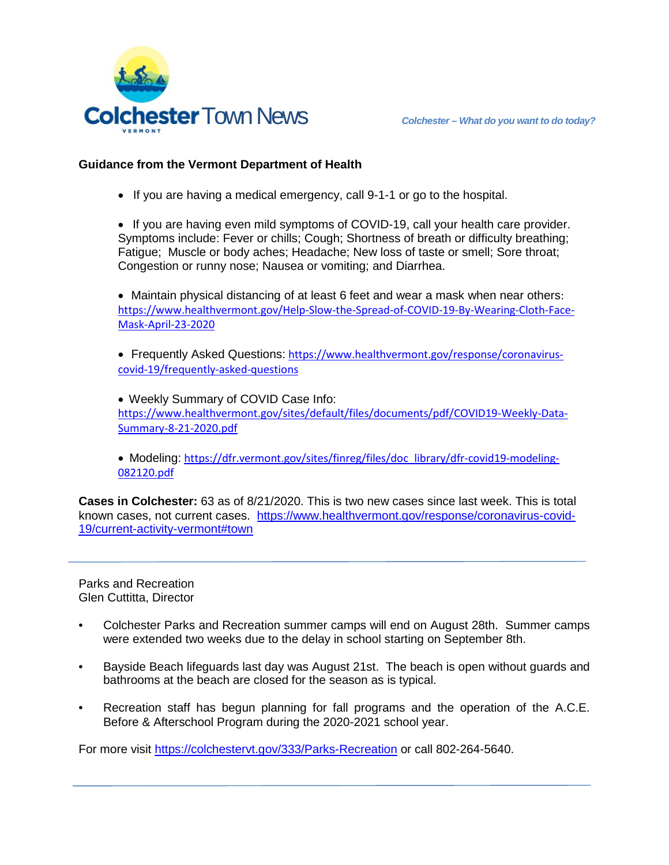

## **Guidance from the Vermont Department of Health**

• If you are having a medical emergency, call 9-1-1 or go to the hospital.

• If you are having even mild symptoms of COVID-19, call your health care provider. Symptoms include: Fever or chills; Cough; Shortness of breath or difficulty breathing; Fatigue; Muscle or body aches; Headache; New loss of taste or smell; Sore throat; Congestion or runny nose; Nausea or vomiting; and Diarrhea.

• Maintain physical distancing of at least 6 feet and wear a mask when near others: [https://www.healthvermont.gov/Help-Slow-the-Spread-of-COVID-19-By-Wearing-Cloth-Face-](https://www.healthvermont.gov/Help-Slow-the-Spread-of-COVID-19-By-Wearing-Cloth-Face-Mask-April-23-2020)[Mask-April-23-2020](https://www.healthvermont.gov/Help-Slow-the-Spread-of-COVID-19-By-Wearing-Cloth-Face-Mask-April-23-2020)

• Frequently Asked Questions: [https://www.healthvermont.gov/response/coronavirus](https://www.healthvermont.gov/response/coronavirus-covid-19/frequently-asked-questions)[covid-19/frequently-asked-questions](https://www.healthvermont.gov/response/coronavirus-covid-19/frequently-asked-questions)

• Weekly Summary of COVID Case Info: [https://www.healthvermont.gov/sites/default/files/documents/pdf/COVID19-Weekly-Data-](https://www.healthvermont.gov/sites/default/files/documents/pdf/COVID19-Weekly-Data-Summary-8-21-2020.pdf)[Summary-8-21-2020.pdf](https://www.healthvermont.gov/sites/default/files/documents/pdf/COVID19-Weekly-Data-Summary-8-21-2020.pdf)

• Modeling: [https://dfr.vermont.gov/sites/finreg/files/doc\\_library/dfr-covid19-modeling-](https://dfr.vermont.gov/sites/finreg/files/doc_library/dfr-covid19-modeling-082120.pdf)[082120.pdf](https://dfr.vermont.gov/sites/finreg/files/doc_library/dfr-covid19-modeling-082120.pdf)

**Cases in Colchester:** 63 as of 8/21/2020. This is two new cases since last week. This is total known cases, not current cases. [https://www.healthvermont.gov/response/coronavirus-covid-](https://www.healthvermont.gov/response/coronavirus-covid-19/current-activity-vermont#town)[19/current-activity-vermont#town](https://www.healthvermont.gov/response/coronavirus-covid-19/current-activity-vermont#town)

Parks and Recreation Glen Cuttitta, Director

- Colchester Parks and Recreation summer camps will end on August 28th. Summer camps were extended two weeks due to the delay in school starting on September 8th.
- Bayside Beach lifeguards last day was August 21st. The beach is open without guards and bathrooms at the beach are closed for the season as is typical.
- Recreation staff has begun planning for fall programs and the operation of the A.C.E. Before & Afterschool Program during the 2020-2021 school year.

For more visit<https://colchestervt.gov/333/Parks-Recreation> or call 802-264-5640.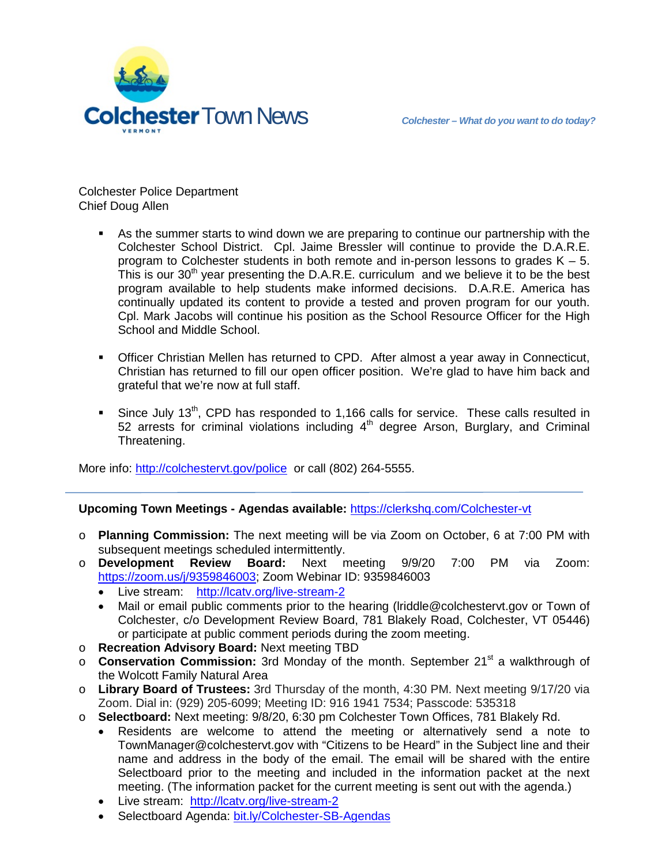

Colchester Police Department Chief Doug Allen

- As the summer starts to wind down we are preparing to continue our partnership with the Colchester School District. Cpl. Jaime Bressler will continue to provide the D.A.R.E. program to Colchester students in both remote and in-person lessons to grades  $K - 5$ . This is our 30<sup>th</sup> year presenting the D.A.R.E. curriculum and we believe it to be the best program available to help students make informed decisions. D.A.R.E. America has continually updated its content to provide a tested and proven program for our youth. Cpl. Mark Jacobs will continue his position as the School Resource Officer for the High School and Middle School.
- **Officer Christian Mellen has returned to CPD.** After almost a year away in Connecticut, Christian has returned to fill our open officer position. We're glad to have him back and grateful that we're now at full staff.
- Since July 13<sup>th</sup>, CPD has responded to 1,166 calls for service. These calls resulted in 52 arrests for criminal violations including  $4<sup>th</sup>$  degree Arson, Burglary, and Criminal Threatening.

More info: <http://colchestervt.gov/police> or call (802) 264-5555.

## **Upcoming Town Meetings - Agendas available:** <https://clerkshq.com/Colchester-vt>

- o **Planning Commission:** The next meeting will be via Zoom on October, 6 at 7:00 PM with subsequent meetings scheduled intermittently.
- o **Development Review Board:** Next meeting 9/9/20 7:00 PM via Zoom: [https://zoom.us/j/9359846003;](https://zoom.us/j/9359846003) Zoom Webinar ID: 9359846003
	- Live stream: <http://lcatv.org/live-stream-2>
	- Mail or email public comments prior to the hearing (lriddle@colchestervt.gov or Town of Colchester, c/o Development Review Board, 781 Blakely Road, Colchester, VT 05446) or participate at public comment periods during the zoom meeting.
- o **Recreation Advisory Board:** Next meeting TBD
- o **Conservation Commission:** 3rd Monday of the month. September 21st a walkthrough of the Wolcott Family Natural Area
- o **Library Board of Trustees:** 3rd Thursday of the month, 4:30 PM. Next meeting 9/17/20 via Zoom. Dial in: (929) 205-6099; Meeting ID: 916 1941 7534; Passcode: 535318
- o **Selectboard:** Next meeting: 9/8/20, 6:30 pm Colchester Town Offices, 781 Blakely Rd.
	- Residents are welcome to attend the meeting or alternatively send a note to TownManager@colchestervt.gov with "Citizens to be Heard" in the Subject line and their name and address in the body of the email. The email will be shared with the entire Selectboard prior to the meeting and included in the information packet at the next meeting. (The information packet for the current meeting is sent out with the agenda.)
	- Live stream: <http://lcatv.org/live-stream-2>
	- Selectboard Agenda: [bit.ly/Colchester-SB-Agendas](http://www.bit.ly/Colchester-SB-Agendas)